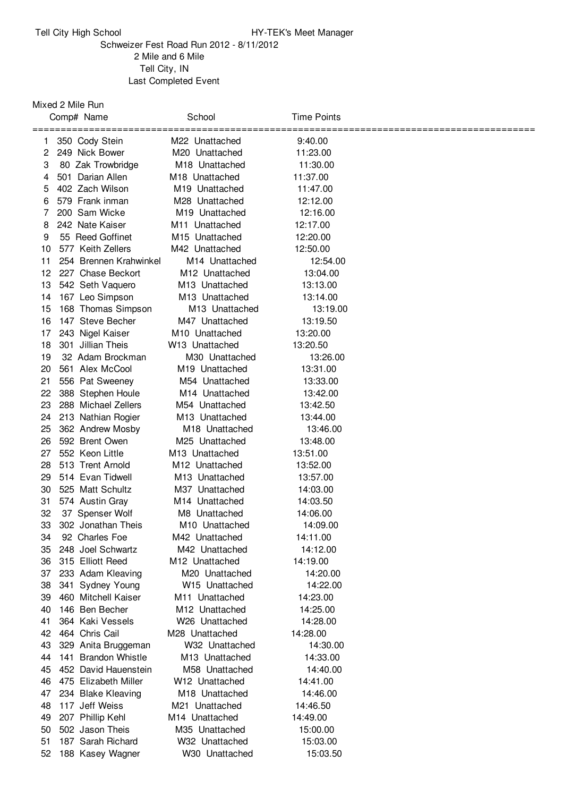## Tell City High School **HY-TEK's Meet Manager**

## Schweizer Fest Road Run 2012 - 8/11/2012 Mile and 6 Mile Tell City, IN Last Completed Event

Mixed 2 Mile Run

| Comp# Name                   | School                     | <b>Time Points</b> |
|------------------------------|----------------------------|--------------------|
| 350 Cody Stein<br>1          | M22 Unattached             | 9:40.00            |
| 2<br>249 Nick Bower          | M20 Unattached             | 11:23.00           |
| 3<br>80 Zak Trowbridge       | M18 Unattached             | 11:30.00           |
| 501 Darian Allen<br>4        | M <sub>18</sub> Unattached | 11:37.00           |
| 402 Zach Wilson<br>5         | M <sub>19</sub> Unattached | 11:47.00           |
| 579 Frank inman<br>6         | M28 Unattached             | 12:12.00           |
| 200 Sam Wicke<br>7           | M19 Unattached             | 12:16.00           |
| 242 Nate Kaiser<br>8         | M <sub>11</sub> Unattached | 12:17.00           |
| 55 Reed Goffinet<br>9        | M <sub>15</sub> Unattached | 12:20.00           |
| 577 Keith Zellers<br>10      | M42 Unattached             | 12:50.00           |
| 11<br>254 Brennen Krahwinkel | M <sub>14</sub> Unattached | 12:54.00           |
| 12<br>227 Chase Beckort      | M <sub>12</sub> Unattached | 13:04.00           |
| 13<br>542 Seth Vaquero       | M <sub>13</sub> Unattached | 13:13.00           |
| 167 Leo Simpson<br>14        | M <sub>13</sub> Unattached | 13:14.00           |
| 168 Thomas Simpson<br>15     | M <sub>13</sub> Unattached | 13:19.00           |
| 147 Steve Becher<br>16       | M47 Unattached             | 13:19.50           |
| 17<br>243 Nigel Kaiser       | M <sub>10</sub> Unattached | 13:20.00           |
| 18<br>301 Jillian Theis      | W <sub>13</sub> Unattached | 13:20.50           |
| 32 Adam Brockman<br>19       | M30 Unattached             | 13:26.00           |
| 561 Alex McCool<br>20        | M <sub>19</sub> Unattached | 13:31.00           |
| 21<br>556 Pat Sweeney        | M54 Unattached             | 13:33.00           |
| 22<br>388 Stephen Houle      | M <sub>14</sub> Unattached | 13:42.00           |
| 23<br>288 Michael Zellers    | M54 Unattached             | 13:42.50           |
| 213 Nathian Rogier<br>24     | M <sub>13</sub> Unattached | 13:44.00           |
| 25<br>362 Andrew Mosby       | M <sub>18</sub> Unattached | 13:46.00           |
| 26<br>592 Brent Owen         | M25 Unattached             | 13:48.00           |
| 27<br>552 Keon Little        | M13 Unattached             | 13:51.00           |
| 28<br>513 Trent Arnold       | M <sub>12</sub> Unattached | 13:52.00           |
| 514 Evan Tidwell<br>29       | M13 Unattached             | 13:57.00           |
| 30<br>525 Matt Schultz       | M37 Unattached             | 14:03.00           |
| 31<br>574 Austin Gray        | M14 Unattached             | 14:03.50           |
| 32<br>37 Spenser Wolf        | M8 Unattached              | 14:06.00           |
| 33<br>302 Jonathan Theis     | M <sub>10</sub> Unattached | 14:09.00           |
| 92 Charles Foe<br>34         | M42 Unattached             | 14:11.00           |
| 35<br>248 Joel Schwartz      | M42 Unattached             | 14:12.00           |
| 315 Elliott Reed<br>36       | M <sub>12</sub> Unattached | 14:19.00           |
| 37<br>233 Adam Kleaving      | M20 Unattached             | 14:20.00           |
| 38<br>341 Sydney Young       | W <sub>15</sub> Unattached | 14:22.00           |
| 39<br>460 Mitchell Kaiser    | M <sub>11</sub> Unattached | 14:23.00           |
| 146 Ben Becher<br>40         | M <sub>12</sub> Unattached | 14:25.00           |
| 364 Kaki Vessels<br>41       | W <sub>26</sub> Unattached | 14:28.00           |
| 42<br>464 Chris Cail         | M28 Unattached             | 14:28.00           |
| 43<br>329 Anita Bruggeman    | W32 Unattached             | 14:30.00           |
| 44<br>141 Brandon Whistle    | M <sub>13</sub> Unattached | 14:33.00           |
| 45<br>452 David Hauenstein   | M58 Unattached             | 14:40.00           |
| 46<br>475 Elizabeth Miller   | W12 Unattached             | 14:41.00           |
| 47<br>234 Blake Kleaving     | M <sub>18</sub> Unattached | 14:46.00           |
| 117 Jeff Weiss<br>48         | M21 Unattached             | 14:46.50           |
| 49<br>207 Phillip Kehl       | M14 Unattached             | 14:49.00           |
| 502 Jason Theis<br>50        | M35 Unattached             | 15:00.00           |
| 51<br>187 Sarah Richard      | W32 Unattached             | 15:03.00           |
| 52<br>188 Kasey Wagner       | W30 Unattached             | 15:03.50           |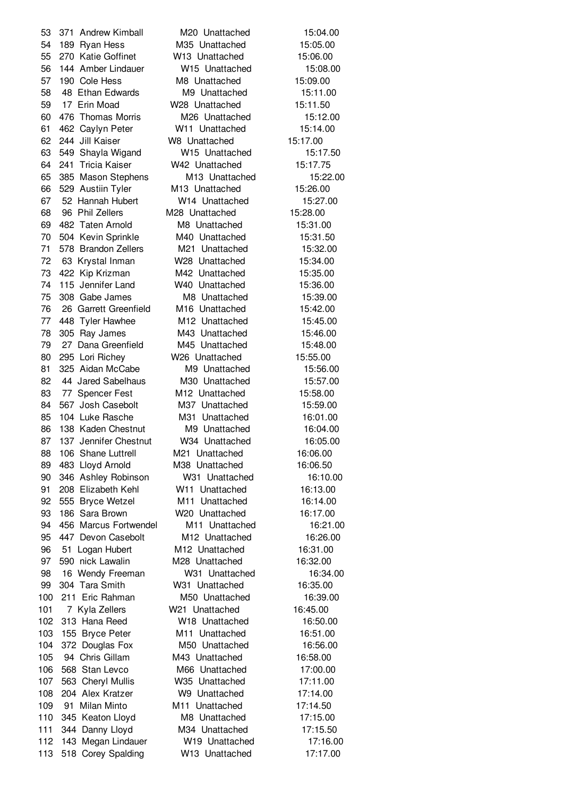371 Andrew Kimball M20 Unattached 15:04.00 189 Ryan Hess M35 Unattached 15:05.00 270 Katie Goffinet W13 Unattached 15:06.00 144 Amber Lindauer W15 Unattached 15:08.00 57 190 Cole Hess M8 Unattached 15:09.00 58 48 Ethan Edwards M9 Unattached 15:11.00 17 Erin Moad W28 Unattached 15:11.50 476 Thomas Morris M26 Unattached 15:12.00 462 Caylyn Peter W11 Unattached 15:14.00 244 Jill Kaiser W8 Unattached 15:17.00 549 Shayla Wigand W15 Unattached 15:17.50 241 Tricia Kaiser W42 Unattached 15:17.75 385 Mason Stephens M13 Unattached 15:22.00 529 Austiin Tyler M13 Unattached 15:26.00 52 Hannah Hubert W14 Unattached 15:27.00 96 Phil Zellers M28 Unattached 15:28.00 482 Taten Arnold M8 Unattached 15:31.00 504 Kevin Sprinkle M40 Unattached 15:31.50 578 Brandon Zellers M21 Unattached 15:32.00 63 Krystal Inman W28 Unattached 15:34.00 422 Kip Krizman M42 Unattached 15:35.00 115 Jennifer Land W40 Unattached 15:36.00 308 Gabe James M8 Unattached 15:39.00 26 Garrett Greenfield M16 Unattached 15:42.00 448 Tyler Hawhee M12 Unattached 15:45.00 305 Ray James M43 Unattached 15:46.00 27 Dana Greenfield M45 Unattached 15:48.00 295 Lori Richey W26 Unattached 15:55.00 325 Aidan McCabe M9 Unattached 15:56.00 82 44 Jared Sabelhaus M30 Unattached 15:57.00 83 77 Spencer Fest M12 Unattached 15:58.00 567 Josh Casebolt M37 Unattached 15:59.00 104 Luke Rasche M31 Unattached 16:01.00 86 138 Kaden Chestnut M9 Unattached 16:04.00 87 137 Jennifer Chestnut W34 Unattached 16:05.00 106 Shane Luttrell M21 Unattached 16:06.00 483 Lloyd Arnold M38 Unattached 16:06.50 346 Ashley Robinson W31 Unattached 16:10.00 208 Elizabeth Kehl W11 Unattached 16:13.00 555 Bryce Wetzel M11 Unattached 16:14.00 186 Sara Brown W20 Unattached 16:17.00 456 Marcus Fortwendel M11 Unattached 16:21.00 95 447 Devon Casebolt M12 Unattached 16:26.00 51 Logan Hubert M12 Unattached 16:31.00 590 nick Lawalin M28 Unattached 16:32.00 98 16 Wendy Freeman W31 Unattached 16:34.00 304 Tara Smith W31 Unattached 16:35.00 211 Eric Rahman M50 Unattached 16:39.00 101 7 Kyla Zellers W21 Unattached 16:45.00 313 Hana Reed W18 Unattached 16:50.00 155 Bryce Peter M11 Unattached 16:51.00 104 372 Douglas Fox M50 Unattached 16:56.00 94 Chris Gillam M43 Unattached 16:58.00 568 Stan Levco M66 Unattached 17:00.00 563 Cheryl Mullis W35 Unattached 17:11.00 204 Alex Kratzer W9 Unattached 17:14.00 91 Milan Minto M11 Unattached 17:14.50 345 Keaton Lloyd M8 Unattached 17:15.00 344 Danny Lloyd M34 Unattached 17:15.50 143 Megan Lindauer W19 Unattached 17:16.00 518 Corey Spalding W13 Unattached 17:17.00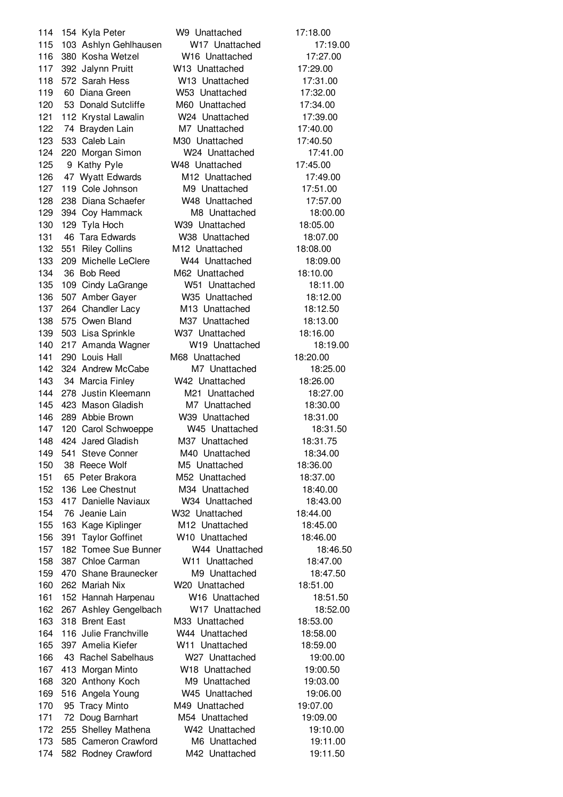154 Kyla Peter W9 Unattached 17:18.00 103 Ashlyn Gehlhausen W17 Unattached 17:19.00 380 Kosha Wetzel W16 Unattached 17:27.00 392 Jalynn Pruitt W13 Unattached 17:29.00 572 Sarah Hess W13 Unattached 17:31.00 60 Diana Green W53 Unattached 17:32.00 53 Donald Sutcliffe M60 Unattached 17:34.00 112 Krystal Lawalin W24 Unattached 17:39.00 122 74 Brayden Lain M7 Unattached 17:40.00 533 Caleb Lain M30 Unattached 17:40.50 220 Morgan Simon W24 Unattached 17:41.00 9 Kathy Pyle W48 Unattached 17:45.00 47 Wyatt Edwards M12 Unattached 17:49.00 119 Cole Johnson M9 Unattached 17:51.00 238 Diana Schaefer W48 Unattached 17:57.00 394 Coy Hammack M8 Unattached 18:00.00 129 Tyla Hoch W39 Unattached 18:05.00 46 Tara Edwards W38 Unattached 18:07.00 551 Riley Collins M12 Unattached 18:08.00 209 Michelle LeClere W44 Unattached 18:09.00 36 Bob Reed M62 Unattached 18:10.00 109 Cindy LaGrange W51 Unattached 18:11.00 507 Amber Gayer W35 Unattached 18:12.00 137 264 Chandler Lacy M13 Unattached 18:12.50 575 Owen Bland M37 Unattached 18:13.00 503 Lisa Sprinkle W37 Unattached 18:16.00 217 Amanda Wagner W19 Unattached 18:19.00 290 Louis Hall M68 Unattached 18:20.00 324 Andrew McCabe M7 Unattached 18:25.00 34 Marcia Finley W42 Unattached 18:26.00 278 Justin Kleemann M21 Unattached 18:27.00 423 Mason Gladish M7 Unattached 18:30.00 289 Abbie Brown W39 Unattached 18:31.00 120 Carol Schwoeppe W45 Unattached 18:31.50 424 Jared Gladish M37 Unattached 18:31.75 541 Steve Conner M40 Unattached 18:34.00 38 Reece Wolf M5 Unattached 18:36.00 65 Peter Brakora M52 Unattached 18:37.00 136 Lee Chestnut M34 Unattached 18:40.00 417 Danielle Naviaux W34 Unattached 18:43.00 76 Jeanie Lain W32 Unattached 18:44.00 163 Kage Kiplinger M12 Unattached 18:45.00 391 Taylor Goffinet W10 Unattached 18:46.00 182 Tomee Sue Bunner W44 Unattached 18:46.50 387 Chloe Carman W11 Unattached 18:47.00 470 Shane Braunecker M9 Unattached 18:47.50 262 Mariah Nix W20 Unattached 18:51.00 152 Hannah Harpenau W16 Unattached 18:51.50 267 Ashley Gengelbach W17 Unattached 18:52.00 318 Brent East M33 Unattached 18:53.00 116 Julie Franchville W44 Unattached 18:58.00 397 Amelia Kiefer W11 Unattached 18:59.00 43 Rachel Sabelhaus W27 Unattached 19:00.00 413 Morgan Minto W18 Unattached 19:00.50 320 Anthony Koch M9 Unattached 19:03.00 516 Angela Young W45 Unattached 19:06.00 95 Tracy Minto M49 Unattached 19:07.00 72 Doug Barnhart M54 Unattached 19:09.00 255 Shelley Mathena W42 Unattached 19:10.00 585 Cameron Crawford M6 Unattached 19:11.00 582 Rodney Crawford M42 Unattached 19:11.50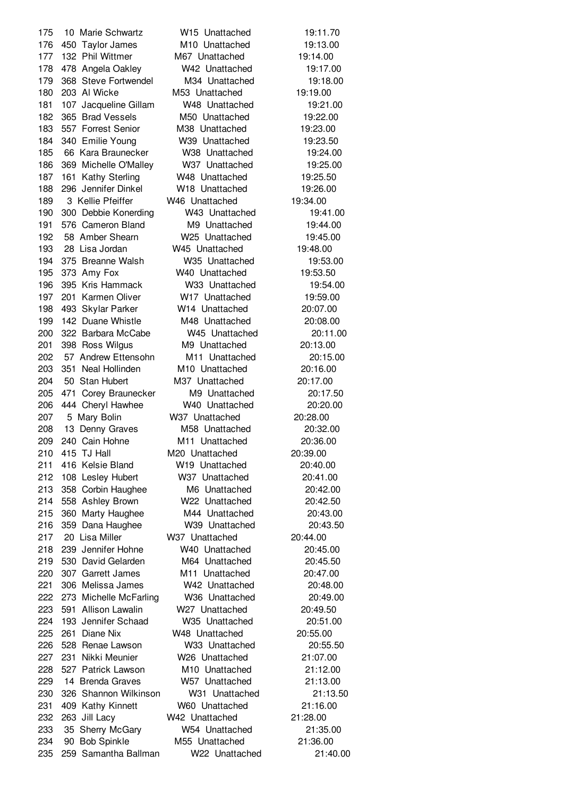10 Marie Schwartz W15 Unattached 19:11.70 450 Taylor James M10 Unattached 19:13.00 132 Phil Wittmer M67 Unattached 19:14.00 478 Angela Oakley W42 Unattached 19:17.00 368 Steve Fortwendel M34 Unattached 19:18.00 203 Al Wicke M53 Unattached 19:19.00 181 107 Jacqueline Gillam W48 Unattached 19:21.00 365 Brad Vessels M50 Unattached 19:22.00 557 Forrest Senior M38 Unattached 19:23.00 340 Emilie Young W39 Unattached 19:23.50 66 Kara Braunecker W38 Unattached 19:24.00 369 Michelle O'Malley W37 Unattached 19:25.00 161 Kathy Sterling W48 Unattached 19:25.50 296 Jennifer Dinkel W18 Unattached 19:26.00 3 Kellie Pfeiffer W46 Unattached 19:34.00 300 Debbie Konerding W43 Unattached 19:41.00 576 Cameron Bland M9 Unattached 19:44.00 58 Amber Shearn W25 Unattached 19:45.00 28 Lisa Jordan W45 Unattached 19:48.00 375 Breanne Walsh W35 Unattached 19:53.00 373 Amy Fox W40 Unattached 19:53.50 395 Kris Hammack W33 Unattached 19:54.00 201 Karmen Oliver W17 Unattached 19:59.00 493 Skylar Parker W14 Unattached 20:07.00 142 Duane Whistle M48 Unattached 20:08.00 322 Barbara McCabe W45 Unattached 20:11.00 201 398 Ross Wilgus M9 Unattached 20:13.00 57 Andrew Ettensohn M11 Unattached 20:15.00 351 Neal Hollinden M10 Unattached 20:16.00 50 Stan Hubert M37 Unattached 20:17.00 471 Corey Braunecker M9 Unattached 20:17.50 444 Cheryl Hawhee W40 Unattached 20:20.00 5 Mary Bolin W37 Unattached 20:28.00 13 Denny Graves M58 Unattached 20:32.00 240 Cain Hohne M11 Unattached 20:36.00 415 TJ Hall M20 Unattached 20:39.00 416 Kelsie Bland W19 Unattached 20:40.00 108 Lesley Hubert W37 Unattached 20:41.00 358 Corbin Haughee M6 Unattached 20:42.00 558 Ashley Brown W22 Unattached 20:42.50 360 Marty Haughee M44 Unattached 20:43.00 359 Dana Haughee W39 Unattached 20:43.50 20 Lisa Miller W37 Unattached 20:44.00 239 Jennifer Hohne W40 Unattached 20:45.00 530 David Gelarden M64 Unattached 20:45.50 307 Garrett James M11 Unattached 20:47.00 306 Melissa James W42 Unattached 20:48.00 273 Michelle McFarling W36 Unattached 20:49.00 591 Allison Lawalin W27 Unattached 20:49.50 193 Jennifer Schaad W35 Unattached 20:51.00 261 Diane Nix W48 Unattached 20:55.00 528 Renae Lawson W33 Unattached 20:55.50 231 Nikki Meunier W26 Unattached 21:07.00 527 Patrick Lawson M10 Unattached 21:12.00 14 Brenda Graves W57 Unattached 21:13.00 326 Shannon Wilkinson W31 Unattached 21:13.50 409 Kathy Kinnett W60 Unattached 21:16.00 263 Jill Lacy W42 Unattached 21:28.00 35 Sherry McGary W54 Unattached 21:35.00 90 Bob Spinkle M55 Unattached 21:36.00 259 Samantha Ballman W22 Unattached 21:40.00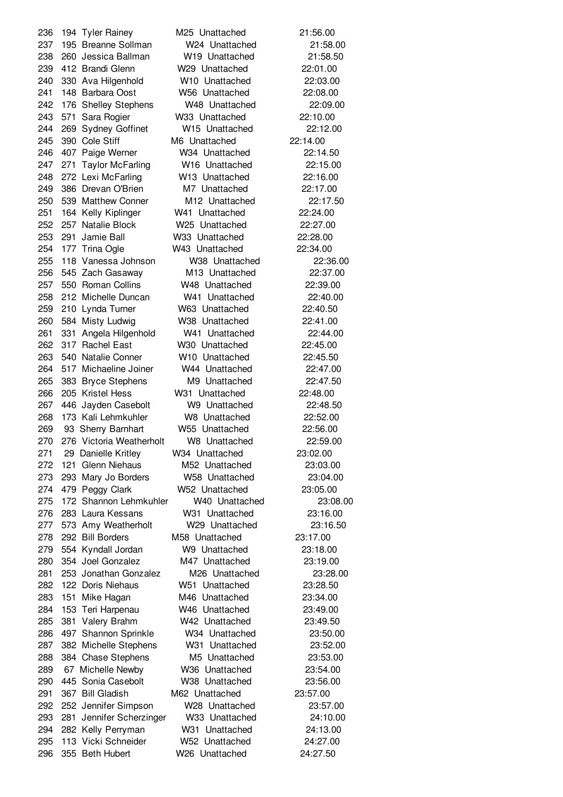194 Tyler Rainey M25 Unattached 21:56.00 195 Breanne Sollman W24 Unattached 21:58.00 260 Jessica Ballman W19 Unattached 21:58.50 412 Brandi Glenn W29 Unattached 22:01.00 330 Ava Hilgenhold W10 Unattached 22:03.00 148 Barbara Oost W56 Unattached 22:08.00 176 Shelley Stephens W48 Unattached 22:09.00 571 Sara Rogier W33 Unattached 22:10.00 269 Sydney Goffinet W15 Unattached 22:12.00 390 Cole Stiff M6 Unattached 22:14.00 407 Paige Werner W34 Unattached 22:14.50 271 Taylor McFarling W16 Unattached 22:15.00 272 Lexi McFarling W13 Unattached 22:16.00 386 Drevan O'Brien M7 Unattached 22:17.00 539 Matthew Conner M12 Unattached 22:17.50 164 Kelly Kiplinger W41 Unattached 22:24.00 257 Natalie Block W25 Unattached 22:27.00 291 Jamie Ball W33 Unattached 22:28.00 177 Trina Ogle W43 Unattached 22:34.00 118 Vanessa Johnson W38 Unattached 22:36.00 545 Zach Gasaway M13 Unattached 22:37.00 550 Roman Collins W48 Unattached 22:39.00 212 Michelle Duncan W41 Unattached 22:40.00 210 Lynda Turner W63 Unattached 22:40.50 584 Misty Ludwig W38 Unattached 22:41.00 331 Angela Hilgenhold W41 Unattached 22:44.00 317 Rachel East W30 Unattached 22:45.00 540 Natalie Conner W10 Unattached 22:45.50 517 Michaeline Joiner W44 Unattached 22:47.00 383 Bryce Stephens M9 Unattached 22:47.50 205 Kristel Hess W31 Unattached 22:48.00 446 Jayden Casebolt W9 Unattached 22:48.50 173 Kali Lehmkuhler W8 Unattached 22:52.00 93 Sherry Barnhart W55 Unattached 22:56.00 276 Victoria Weatherholt W8 Unattached 22:59.00 29 Danielle Kritley W34 Unattached 23:02.00 121 Glenn Niehaus M52 Unattached 23:03.00 293 Mary Jo Borders W58 Unattached 23:04.00 479 Peggy Clark W52 Unattached 23:05.00 172 Shannon Lehmkuhler W40 Unattached 23:08.00 283 Laura Kessans W31 Unattached 23:16.00 573 Amy Weatherholt W29 Unattached 23:16.50 292 Bill Borders M58 Unattached 23:17.00 554 Kyndall Jordan W9 Unattached 23:18.00 354 Joel Gonzalez M47 Unattached 23:19.00 253 Jonathan Gonzalez M26 Unattached 23:28.00 122 Doris Niehaus W51 Unattached 23:28.50 151 Mike Hagan M46 Unattached 23:34.00 153 Teri Harpenau W46 Unattached 23:49.00 381 Valery Brahm W42 Unattached 23:49.50 497 Shannon Sprinkle W34 Unattached 23:50.00 382 Michelle Stephens W31 Unattached 23:52.00 384 Chase Stephens M5 Unattached 23:53.00 67 Michelle Newby W36 Unattached 23:54.00 445 Sonia Casebolt W38 Unattached 23:56.00 367 Bill Gladish M62 Unattached 23:57.00 252 Jennifer Simpson W28 Unattached 23:57.00 281 Jennifer Scherzinger W33 Unattached 24:10.00 282 Kelly Perryman W31 Unattached 24:13.00 113 Vicki Schneider W52 Unattached 24:27.00 355 Beth Hubert W26 Unattached 24:27.50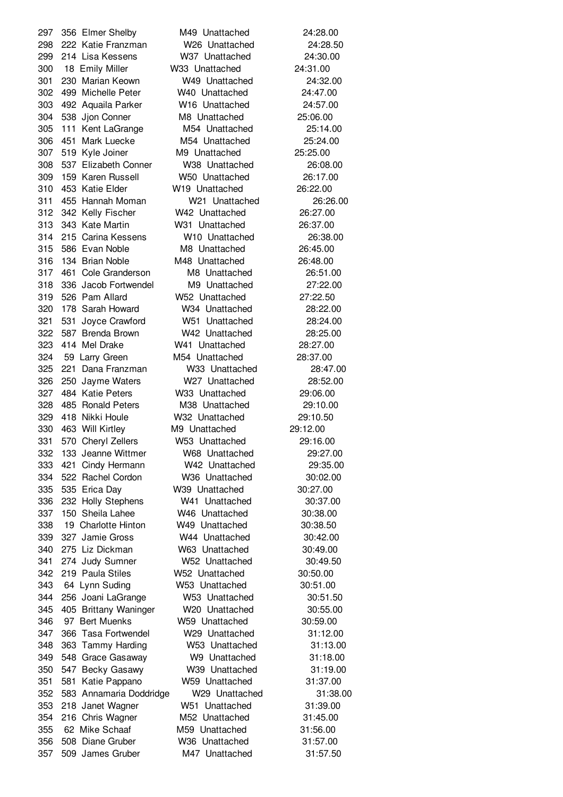356 Elmer Shelby M49 Unattached 24:28.00 222 Katie Franzman W26 Unattached 24:28.50 214 Lisa Kessens W37 Unattached 24:30.00 18 Emily Miller W33 Unattached 24:31.00 230 Marian Keown W49 Unattached 24:32.00 499 Michelle Peter W40 Unattached 24:47.00 492 Aquaila Parker W16 Unattached 24:57.00 538 Jjon Conner M8 Unattached 25:06.00 111 Kent LaGrange M54 Unattached 25:14.00 451 Mark Luecke M54 Unattached 25:24.00 519 Kyle Joiner M9 Unattached 25:25.00 537 Elizabeth Conner W38 Unattached 26:08.00 159 Karen Russell W50 Unattached 26:17.00 453 Katie Elder W19 Unattached 26:22.00 455 Hannah Moman W21 Unattached 26:26.00 342 Kelly Fischer W42 Unattached 26:27.00 343 Kate Martin W31 Unattached 26:37.00 215 Carina Kessens W10 Unattached 26:38.00 586 Evan Noble M8 Unattached 26:45.00 134 Brian Noble M48 Unattached 26:48.00 461 Cole Granderson M8 Unattached 26:51.00 336 Jacob Fortwendel M9 Unattached 27:22.00 526 Pam Allard W52 Unattached 27:22.50 178 Sarah Howard W34 Unattached 28:22.00 531 Joyce Crawford W51 Unattached 28:24.00 587 Brenda Brown W42 Unattached 28:25.00 414 Mel Drake W41 Unattached 28:27.00 59 Larry Green M54 Unattached 28:37.00 221 Dana Franzman W33 Unattached 28:47.00 250 Jayme Waters W27 Unattached 28:52.00 484 Katie Peters W33 Unattached 29:06.00 485 Ronald Peters M38 Unattached 29:10.00 418 Nikki Houle W32 Unattached 29:10.50 463 Will Kirtley M9 Unattached 29:12.00 570 Cheryl Zellers W53 Unattached 29:16.00 133 Jeanne Wittmer W68 Unattached 29:27.00 421 Cindy Hermann W42 Unattached 29:35.00 522 Rachel Cordon W36 Unattached 30:02.00 535 Erica Day W39 Unattached 30:27.00 232 Holly Stephens W41 Unattached 30:37.00 150 Sheila Lahee W46 Unattached 30:38.00 19 Charlotte Hinton W49 Unattached 30:38.50 327 Jamie Gross W44 Unattached 30:42.00 275 Liz Dickman W63 Unattached 30:49.00 274 Judy Sumner W52 Unattached 30:49.50 219 Paula Stiles W52 Unattached 30:50.00 64 Lynn Suding W53 Unattached 30:51.00 256 Joani LaGrange W53 Unattached 30:51.50 405 Brittany Waninger W20 Unattached 30:55.00 97 Bert Muenks W59 Unattached 30:59.00 366 Tasa Fortwendel W29 Unattached 31:12.00 363 Tammy Harding W53 Unattached 31:13.00 548 Grace Gasaway W9 Unattached 31:18.00 547 Becky Gasawy W39 Unattached 31:19.00 581 Katie Pappano W59 Unattached 31:37.00 583 Annamaria Doddridge W29 Unattached 31:38.00 218 Janet Wagner W51 Unattached 31:39.00 216 Chris Wagner M52 Unattached 31:45.00 62 Mike Schaaf M59 Unattached 31:56.00 508 Diane Gruber W36 Unattached 31:57.00 509 James Gruber M47 Unattached 31:57.50